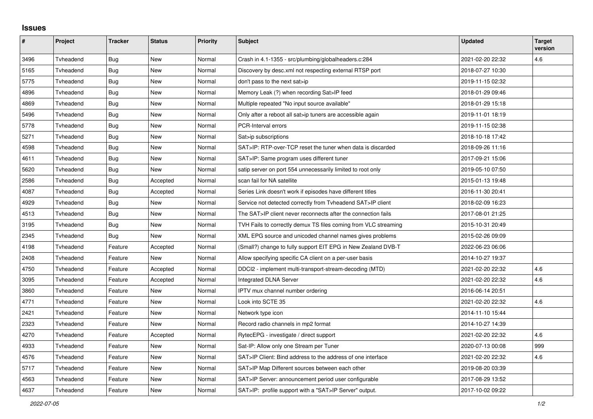## **Issues**

| $\sharp$ | Project   | <b>Tracker</b> | <b>Status</b> | <b>Priority</b> | <b>Subject</b>                                                  | <b>Updated</b>   | <b>Target</b><br>version |
|----------|-----------|----------------|---------------|-----------------|-----------------------------------------------------------------|------------------|--------------------------|
| 3496     | Tvheadend | Bug            | New           | Normal          | Crash in 4.1-1355 - src/plumbing/globalheaders.c:284            | 2021-02-20 22:32 | 4.6                      |
| 5165     | Tvheadend | Bug            | New           | Normal          | Discovery by desc.xml not respecting external RTSP port         | 2018-07-27 10:30 |                          |
| 5775     | Tvheadend | Bug            | New           | Normal          | don't pass to the next sat>ip                                   | 2019-11-15 02:32 |                          |
| 4896     | Tvheadend | <b>Bug</b>     | New           | Normal          | Memory Leak (?) when recording Sat>IP feed                      | 2018-01-29 09:46 |                          |
| 4869     | Tvheadend | Bug            | New           | Normal          | Multiple repeated "No input source available"                   | 2018-01-29 15:18 |                          |
| 5496     | Tvheadend | Bug            | New           | Normal          | Only after a reboot all sat>ip tuners are accessible again      | 2019-11-01 18:19 |                          |
| 5778     | Tvheadend | Bug            | New           | Normal          | PCR-Interval errors                                             | 2019-11-15 02:38 |                          |
| 5271     | Tvheadend | Bug            | New           | Normal          | Sat>ip subscriptions                                            | 2018-10-18 17:42 |                          |
| 4598     | Tvheadend | <b>Bug</b>     | New           | Normal          | SAT>IP: RTP-over-TCP reset the tuner when data is discarded     | 2018-09-26 11:16 |                          |
| 4611     | Tvheadend | Bug            | New           | Normal          | SAT>IP: Same program uses different tuner                       | 2017-09-21 15:06 |                          |
| 5620     | Tvheadend | Bug            | New           | Normal          | satip server on port 554 unnecessarily limited to root only     | 2019-05-10 07:50 |                          |
| 2586     | Tvheadend | Bug            | Accepted      | Normal          | scan fail for NA satellite                                      | 2015-01-13 19:48 |                          |
| 4087     | Tvheadend | Bug            | Accepted      | Normal          | Series Link doesn't work if episodes have different titles      | 2016-11-30 20:41 |                          |
| 4929     | Tvheadend | <b>Bug</b>     | New           | Normal          | Service not detected correctly from Tyheadend SAT>IP client     | 2018-02-09 16:23 |                          |
| 4513     | Tvheadend | Bug            | New           | Normal          | The SAT>IP client never reconnects after the connection fails   | 2017-08-01 21:25 |                          |
| 3195     | Tvheadend | Bug            | New           | Normal          | TVH Fails to correctly demux TS files coming from VLC streaming | 2015-10-31 20:49 |                          |
| 2345     | Tvheadend | Bug            | New           | Normal          | XML EPG source and unicoded channel names gives problems        | 2015-02-26 09:09 |                          |
| 4198     | Tvheadend | Feature        | Accepted      | Normal          | (Small?) change to fully support EIT EPG in New Zealand DVB-T   | 2022-06-23 06:06 |                          |
| 2408     | Tvheadend | Feature        | New           | Normal          | Allow specifying specific CA client on a per-user basis         | 2014-10-27 19:37 |                          |
| 4750     | Tvheadend | Feature        | Accepted      | Normal          | DDCI2 - implement multi-transport-stream-decoding (MTD)         | 2021-02-20 22:32 | 4.6                      |
| 3095     | Tvheadend | Feature        | Accepted      | Normal          | <b>Integrated DLNA Server</b>                                   | 2021-02-20 22:32 | 4.6                      |
| 3860     | Tvheadend | Feature        | New           | Normal          | IPTV mux channel number ordering                                | 2016-06-14 20:51 |                          |
| 4771     | Tvheadend | Feature        | New           | Normal          | Look into SCTE 35                                               | 2021-02-20 22:32 | 4.6                      |
| 2421     | Tvheadend | Feature        | New           | Normal          | Network type icon                                               | 2014-11-10 15:44 |                          |
| 2323     | Tvheadend | Feature        | New           | Normal          | Record radio channels in mp2 format                             | 2014-10-27 14:39 |                          |
| 4270     | Tvheadend | Feature        | Accepted      | Normal          | RytecEPG - investigate / direct support                         | 2021-02-20 22:32 | 4.6                      |
| 4933     | Tvheadend | Feature        | New           | Normal          | Sat-IP: Allow only one Stream per Tuner                         | 2020-07-13 00:08 | 999                      |
| 4576     | Tvheadend | Feature        | New           | Normal          | SAT>IP Client: Bind address to the address of one interface     | 2021-02-20 22:32 | 4.6                      |
| 5717     | Tvheadend | Feature        | <b>New</b>    | Normal          | SAT>IP Map Different sources between each other                 | 2019-08-20 03:39 |                          |
| 4563     | Tvheadend | Feature        | New           | Normal          | SAT>IP Server: announcement period user configurable            | 2017-08-29 13:52 |                          |
| 4637     | Tvheadend | Feature        | New           | Normal          | SAT>IP: profile support with a "SAT>IP Server" output.          | 2017-10-02 09:22 |                          |